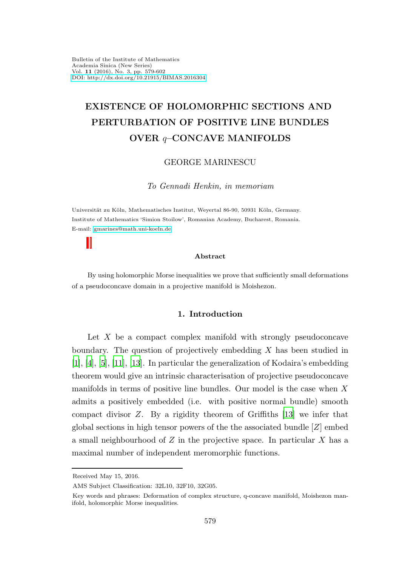# EXISTENCE OF HOLOMORPHIC SECTIONS AND PERTURBATION OF POSITIVE LINE BUNDLES OVER q–CONCAVE MANIFOLDS

## GEORGE MARINESCU

To Gennadi Henkin, in memoriam

Universität zu Köln, Mathematisches Institut, Weyertal 86-90, 50931 Köln, Germany. Institute of Mathematics 'Simion Stoilow', Romanian Academy, Bucharest, Romania. E-mail: [gmarines@math.uni-koeln.de](mailto:gmarines@math.uni-koeln.de)

#### Abstract

By using holomorphic Morse inequalities we prove that sufficiently small deformations of a pseudoconcave domain in a projective manifold is Moishezon.

# 1. Introduction

Let  $X$  be a compact complex manifold with strongly pseudoconcave boundary. The question of projectively embedding  $X$  has been studied in [\[1](#page-22-0)], [\[4](#page-22-1)], [\[5\]](#page-22-2), [\[11\]](#page-23-0), [\[13\]](#page-23-1). In particular the generalization of Kodaira's embedding theorem would give an intrinsic characterisation of projective pseudoconcave manifolds in terms of positive line bundles. Our model is the case when  $X$ admits a positively embedded (i.e. with positive normal bundle) smooth compact divisor Z. By a rigidity theorem of Griffiths [\[13](#page-23-1)] we infer that global sections in high tensor powers of the the associated bundle  $[Z]$  embed a small neighbourhood of  $Z$  in the projective space. In particular  $X$  has a maximal number of independent meromorphic functions.

Received May 15, 2016.

AMS Subject Classification: 32L10, 32F10, 32G05.

Key words and phrases: Deformation of complex structure, q-concave manifold, Moishezon manifold, holomorphic Morse inequalities.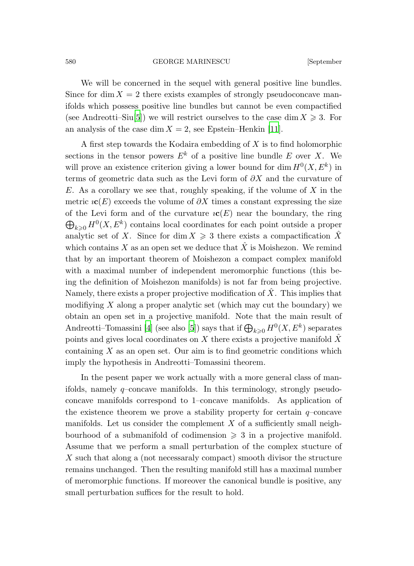We will be concerned in the sequel with general positive line bundles. Since for dim  $X = 2$  there exists examples of strongly pseudoconcave manifolds which possess positive line bundles but cannot be even compactified (see Andreotti–Siu<sup>[\[5](#page-22-2)]</sup>) we will restrict ourselves to the case dim  $X \geq 3$ . For an analysis of the case dim  $X = 2$ , see Epstein–Henkin [\[11\]](#page-23-0).

A first step towards the Kodaira embedding of X is to find holomorphic sections in the tensor powers  $E^k$  of a positive line bundle E over X. We will prove an existence criterion giving a lower bound for  $\dim H^0(X, E^k)$  in terms of geometric data such as the Levi form of  $\partial X$  and the curvature of E. As a corollary we see that, roughly speaking, if the volume of  $X$  in the metric  $i\mathbf{c}(E)$  exceeds the volume of  $\partial X$  times a constant expressing the size of the Levi form and of the curvature  $\mathfrak{c}(E)$  near the boundary, the ring  $\bigoplus_{k\geqslant 0} H^0(X, E^k)$  contains local coordinates for each point outside a proper analytic set of X. Since for dim  $X \geq 3$  there exists a compactification  $\hat{X}$ which contains X as an open set we deduce that  $\ddot{X}$  is Moishezon. We remind that by an important theorem of Moishezon a compact complex manifold with a maximal number of independent meromorphic functions (this being the definition of Moishezon manifolds) is not far from being projective. Namely, there exists a proper projective modification of  $\hat{X}$ . This implies that modifiying  $X$  along a proper analytic set (which may cut the boundary) we obtain an open set in a projective manifold. Note that the main result of Andreotti–Tomassini [\[4\]](#page-22-1) (see also [\[5\]](#page-22-2)) says that if  $\bigoplus_{k\geqslant 0} H^0(X, E^k)$  separates points and gives local coordinates on X there exists a projective manifold  $\ddot{X}$ containing  $X$  as an open set. Our aim is to find geometric conditions which imply the hypothesis in Andreotti–Tomassini theorem.

In the pesent paper we work actually with a more general class of manifolds, namely q–concave manifolds. In this terminology, strongly pseudoconcave manifolds correspond to 1–concave manifolds. As application of the existence theorem we prove a stability property for certain  $q$ –concave manifolds. Let us consider the complement  $X$  of a sufficiently small neighbourhood of a submanifold of codimension  $\geq 3$  in a projective manifold. Assume that we perform a small perturbation of the complex stucture of X such that along a (not necessaraly compact) smooth divisor the structure remains unchanged. Then the resulting manifold still has a maximal number of meromorphic functions. If moreover the canonical bundle is positive, any small perturbation suffices for the result to hold.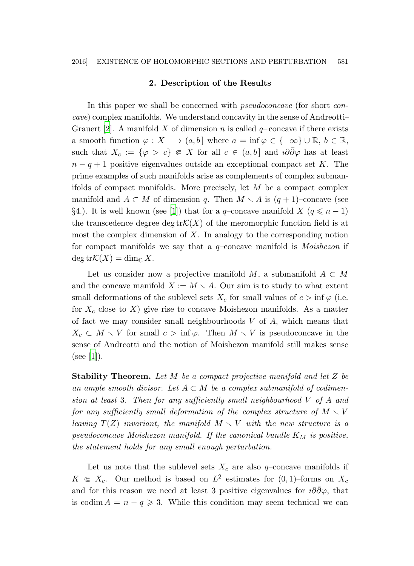### 2. Description of the Results

In this paper we shall be concerned with *pseudoconcave* (for short *con*cave) complex manifolds. We understand concavity in the sense of Andreotti– Grauert [\[2](#page-22-3)]. A manifold X of dimension n is called  $q$ – concave if there exists a smooth function  $\varphi: X \longrightarrow (a, b]$  where  $a = \inf \varphi \in \{-\infty\} \cup \mathbb{R}, b \in \mathbb{R},$ such that  $X_c := \{\varphi > c\} \in X$  for all  $c \in (a, b]$  and  $i\partial\overline{\partial}\varphi$  has at least  $n - q + 1$  positive eigenvalues outside an exceptional compact set K. The prime examples of such manifolds arise as complements of complex submanifolds of compact manifolds. More precisely, let  $M$  be a compact complex manifold and  $A \subset M$  of dimension q. Then  $M \setminus A$  is  $(q + 1)$ –concave (see §4.). It is well known (see [\[1](#page-22-0)]) that for a q-concave manifold X ( $q \leq n-1$ ) the transcedence degree deg tr $\mathcal{K}(X)$  of the meromorphic function field is at most the complex dimension of  $X$ . In analogy to the corresponding notion for compact manifolds we say that a  $q$ -concave manifold is *Moishezon* if  $\deg {\rm tr}\mathcal{K}(X) = \dim_{\mathbb{C}} X.$ 

Let us consider now a projective manifold M, a submanifold  $A \subset M$ and the concave manifold  $X := M \setminus A$ . Our aim is to study to what extent small deformations of the sublevel sets  $X_c$  for small values of  $c > \inf \varphi$  (i.e. for  $X_c$  close to X) give rise to concave Moishezon manifolds. As a matter of fact we may consider small neighbourhoods  $V$  of  $A$ , which means that  $X_c \subset M \setminus V$  for small  $c > \inf \varphi$ . Then  $M \setminus V$  is pseudoconcave in the sense of Andreotti and the notion of Moishezon manifold still makes sense  $(see |1|).$ 

Stability Theorem. Let M be a compact projective manifold and let Z be an ample smooth divisor. Let  $A \subset M$  be a complex submanifold of codimension at least 3. Then for any sufficiently small neighbourhood V of A and for any sufficiently small deformation of the complex structure of  $M \setminus V$ leaving  $T(Z)$  invariant, the manifold  $M \setminus V$  with the new structure is a pseudoconcave Moishezon manifold. If the canonical bundle  $K_M$  is positive, the statement holds for any small enough perturbation.

Let us note that the sublevel sets  $X_c$  are also q-concave manifolds if  $K \in X_c$ . Our method is based on  $L^2$  estimates for  $(0, 1)$ -forms on  $X_c$ and for this reason we need at least 3 positive eigenvalues for  $i\partial\partial\varphi$ , that is codim  $A = n - q \geqslant 3$ . While this condition may seem technical we can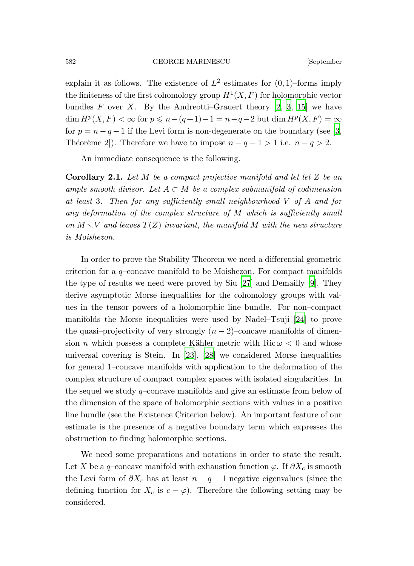explain it as follows. The existence of  $L^2$  estimates for  $(0,1)$ -forms imply the finiteness of the first cohomology group  $H^1(X, F)$  for holomorphic vector bundles F over X. By the Andreotti–Grauert theory  $[2, 3, 15]$  $[2, 3, 15]$  $[2, 3, 15]$  we have  $\dim H^p(X, F) < \infty$  for  $p \leq n - (q+1) - 1 = n - q - 2$  but  $\dim H^p(X, F) = \infty$ for  $p = n - q - 1$  if the Levi form is non-degenerate on the boundary (see [\[3,](#page-22-4) Théorème 2]). Therefore we have to impose  $n - q - 1 > 1$  i.e.  $n - q > 2$ .

An immediate consequence is the following.

**Corollary 2.1.** Let  $M$  be a compact projective manifold and let let  $Z$  be an ample smooth divisor. Let  $A \subset M$  be a complex submanifold of codimension at least 3. Then for any sufficiently small neighbourhood V of A and for any deformation of the complex structure of M which is sufficiently small on  $M \setminus V$  and leaves  $T(Z)$  invariant, the manifold M with the new structure is Moishezon.

In order to prove the Stability Theorem we need a differential geometric criterion for a q–concave manifold to be Moishezon. For compact manifolds the type of results we need were proved by Siu [\[27](#page-23-3)] and Demailly [\[9](#page-22-5)]. They derive asymptotic Morse inequalities for the cohomology groups with values in the tensor powers of a holomorphic line bundle. For non–compact manifolds the Morse inequalities were used by Nadel–Tsuji [\[24](#page-23-4)] to prove the quasi–projectivity of very strongly  $(n-2)$ –concave manifolds of dimension *n* which possess a complete Kähler metric with Ric  $\omega < 0$  and whose universal covering is Stein. In  $[23]$ ,  $[28]$  we considered Morse inequalities for general 1–concave manifolds with application to the deformation of the complex structure of compact complex spaces with isolated singularities. In the sequel we study  $q$ –concave manifolds and give an estimate from below of the dimension of the space of holomorphic sections with values in a positive line bundle (see the Existence Criterion below). An important feature of our estimate is the presence of a negative boundary term which expresses the obstruction to finding holomorphic sections.

We need some preparations and notations in order to state the result. Let X be a q–concave manifold with exhaustion function  $\varphi$ . If  $\partial X_c$  is smooth the Levi form of  $\partial X_c$  has at least  $n - q - 1$  negative eigenvalues (since the defining function for  $X_c$  is  $c - \varphi$ ). Therefore the following setting may be considered.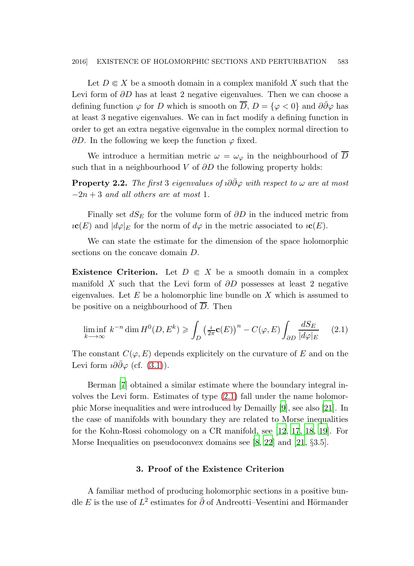Let  $D \in X$  be a smooth domain in a complex manifold X such that the Levi form of ∂D has at least 2 negative eigenvalues. Then we can choose a defining function  $\varphi$  for D which is smooth on  $\overline{D}$ ,  $D = {\varphi < 0}$  and  $\partial \overline{\partial} \varphi$  has at least 3 negative eigenvalues. We can in fact modify a defining function in order to get an extra negative eigenvalue in the complex normal direction to  $\partial D$ . In the following we keep the function  $\varphi$  fixed.

<span id="page-4-1"></span>We introduce a hermitian metric  $\omega = \omega_{\varphi}$  in the neighbourhood of  $\overline{D}$ such that in a neighbourhood V of  $\partial D$  the following property holds:

**Property 2.2.** The first 3 eigenvalues of  $i\partial\partial\varphi$  with respect to  $\omega$  are at most  $-2n+3$  and all others are at most 1.

Finally set  $dS_E$  for the volume form of  $\partial D$  in the induced metric from  $\iota$ **c**(E) and  $|d\varphi|_E$  for the norm of  $d\varphi$  in the metric associated to  $\iota$ **c**(E).

We can state the estimate for the dimension of the space holomorphic sections on the concave domain D.

**Existence Criterion.** Let  $D \in X$  be a smooth domain in a complex manifold X such that the Levi form of  $\partial D$  possesses at least 2 negative eigenvalues. Let  $E$  be a holomorphic line bundle on  $X$  which is assumed to be positive on a neighbourhood of  $\overline{D}$ . Then

<span id="page-4-0"></span>
$$
\liminf_{k \to \infty} k^{-n} \dim H^0(D, E^k) \geq \int_D \left(\frac{i}{2\pi} \mathbf{c}(E)\right)^n - C(\varphi, E) \int_{\partial D} \frac{dS_E}{|d\varphi|_E} \tag{2.1}
$$

The constant  $C(\varphi, E)$  depends explicitely on the curvature of E and on the Levi form  $i\partial\bar{\partial}\varphi$  (cf. [\(3.1\)](#page-7-0)).

Berman [\[7](#page-22-6)] obtained a similar estimate where the boundary integral involves the Levi form. Estimates of type [\(2.1\)](#page-4-0) fall under the name holomorphic Morse inequalities and were introduced by Demailly [\[9\]](#page-22-5), see also [\[21\]](#page-23-7). In the case of manifolds with boundary they are related to Morse inequalities for the Kohn-Rossi cohomology on a CR manifold, see [\[12,](#page-23-8) [17](#page-23-9), [18](#page-23-10), [19](#page-23-11)]. For Morse Inequalities on pseudoconvex domains see [\[8](#page-22-7), [22](#page-23-12)] and [\[21,](#page-23-7) §3.5].

# 3. Proof of the Existence Criterion

A familiar method of producing holomorphic sections in a positive bundle E is the use of  $L^2$  estimates for  $\bar{\partial}$  of Andreotti–Vesentini and Hörmander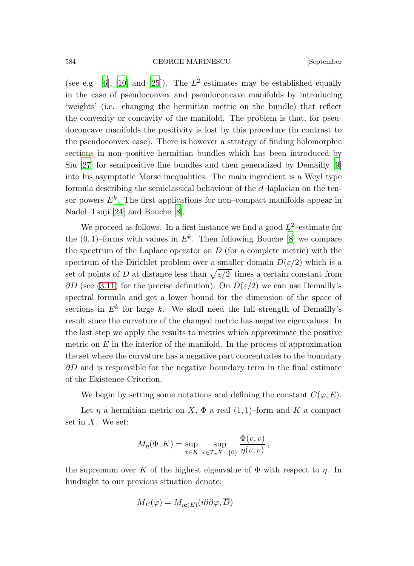(see e.g. [\[6\]](#page-22-8), [\[10](#page-22-9)] and [\[25\]](#page-23-13)). The  $L^2$  estimates may be established equally in the case of pseudoconvex and pseudoconcave manifolds by introducing 'weights' (i.e. changing the hermitian metric on the bundle) that reflect the convexity or concavity of the manifold. The problem is that, for pseudoconcave manifolds the positivity is lost by this procedure (in contrast to the pseudoconvex case). There is however a strategy of finding holomorphic sections in non–positive hermitian bundles which has been introduced by Siu [\[27](#page-23-3)] for semipositive line bundles and then generalized by Demailly [\[9\]](#page-22-5) into his asymptotic Morse inequalities. The main ingredient is a Weyl type formula describing the semiclassical behaviour of the  $\partial$ –laplacian on the tensor powers  $E^k$ . The first applications for non-compact manifolds appear in Nadel–Tsuji [\[24](#page-23-4)] and Bouche [\[8\]](#page-22-7).

We proceed as follows. In a first instance we find a good  $L^2$ -estimate for the  $(0, 1)$ -forms with values in  $E^k$ . Then following Bouche [\[8](#page-22-7)] we compare the spectrum of the Laplace operator on  $D$  (for a complete metric) with the spectrum of the Dirichlet problem over a smaller domain  $D(\varepsilon/2)$  which is a set of points of D at distance less than  $\sqrt{\varepsilon/2}$  times a certain constant from  $\partial D$  (see [\(3.11\)](#page-8-0) for the precise definition). On  $D(\varepsilon/2)$  we can use Demailly's spectral formula and get a lower bound for the dimension of the space of sections in  $E^k$  for large k. We shall need the full strength of Demailly's result since the curvature of the changed metric has negative eigenvalues. In the last step we apply the results to metrics which approximate the positive metric on  $E$  in the interior of the manifold. In the process of approximation the set where the curvature has a negative part concentrates to the boundary  $\partial D$  and is responsible for the negative boundary term in the final estimate of the Existence Criterion.

We begin by setting some notations and defining the constant  $C(\varphi, E)$ .

Let  $\eta$  a hermitian metric on X,  $\Phi$  a real (1, 1)–form and K a compact set in  $X$ . We set:

$$
M_{\eta}(\Phi, K) = \sup_{x \in K} \sup_{v \in T_x X \setminus \{0\}} \frac{\Phi(v, v)}{\eta(v, v)},
$$

the supremum over K of the highest eigenvalue of  $\Phi$  with respect to  $\eta$ . In hindsight to our previous situation denote:

$$
M_E(\varphi) = M_{i\mathbf{c}(E)}(\imath \partial \bar{\partial} \varphi, \overline{D})
$$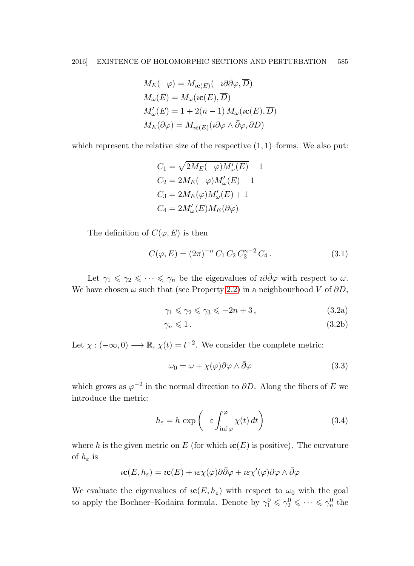$$
M_E(-\varphi) = M_{i\mathbf{c}(E)}(-i\partial\bar{\partial}\varphi, \overline{D})
$$
  
\n
$$
M_{\omega}(E) = M_{\omega}(i\mathbf{c}(E), \overline{D})
$$
  
\n
$$
M'_{\omega}(E) = 1 + 2(n - 1) M_{\omega}(i\mathbf{c}(E), \overline{D})
$$
  
\n
$$
M_E(\partial\varphi) = M_{i\mathbf{c}(E)}(i\partial\varphi \wedge \overline{\partial}\varphi, \partial D)
$$

which represent the relative size of the respective  $(1, 1)$ –forms. We also put:

$$
C_1 = \sqrt{2M_E(-\varphi)M'_{\omega}(E)} - 1
$$
  
\n
$$
C_2 = 2M_E(-\varphi)M'_{\omega}(E) - 1
$$
  
\n
$$
C_3 = 2M_E(\varphi)M'_{\omega}(E) + 1
$$
  
\n
$$
C_4 = 2M'_{\omega}(E)M_E(\partial\varphi)
$$

The definition of  $C(\varphi, E)$  is then

$$
C(\varphi, E) = (2\pi)^{-n} C_1 C_2 C_3^{n-2} C_4.
$$
 (3.1)

Let  $\gamma_1 \leq \gamma_2 \leq \cdots \leq \gamma_n$  be the eigenvalues of  $i\partial\bar{\partial}\varphi$  with respect to  $\omega$ . We have chosen  $\omega$  such that (see Property [2.2\)](#page-4-1) in a neighbourhood V of  $\partial D$ ,

$$
\gamma_1 \leqslant \gamma_2 \leqslant \gamma_3 \leqslant -2n+3\,,\tag{3.2a}
$$

$$
\gamma_n \leqslant 1. \tag{3.2b}
$$

Let  $\chi: (-\infty, 0) \longrightarrow \mathbb{R}, \chi(t) = t^{-2}$ . We consider the complete metric:

$$
\omega_0 = \omega + \chi(\varphi)\partial\varphi \wedge \bar{\partial}\varphi \tag{3.3}
$$

which grows as  $\varphi^{-2}$  in the normal direction to  $\partial D$ . Along the fibers of E we introduce the metric:

$$
h_{\varepsilon} = h \exp\left(-\varepsilon \int_{\inf \varphi}^{\varphi} \chi(t) dt\right)
$$
 (3.4)

where h is the given metric on E (for which  $i\mathbf{c}(E)$  is positive). The curvature of  $h_{\varepsilon}$  is

$$
i\mathbf{c}(E,h_{\varepsilon})=i\mathbf{c}(E)+i\varepsilon\chi(\varphi)\partial\bar{\partial}\varphi+i\varepsilon\chi'(\varphi)\partial\varphi\wedge\bar{\partial}\varphi
$$

We evaluate the eigenvalues of  $i\mathbf{c}(E, h_{\varepsilon})$  with respect to  $\omega_0$  with the goal to apply the Bochner–Kodaira formula. Denote by  $\gamma_1^0 \leq \gamma_2^0 \leq \cdots \leq \gamma_n^0$  the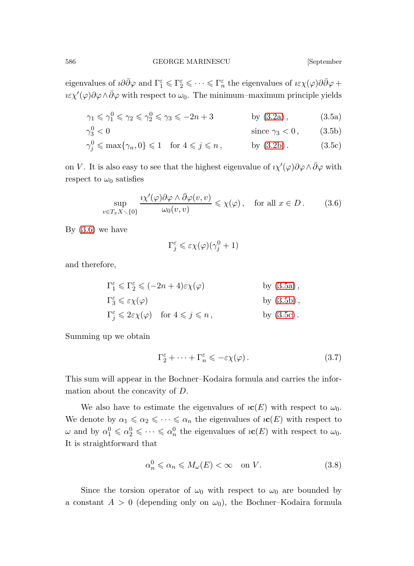eigenvalues of  $i\partial\bar{\partial}\varphi$  and  $\Gamma_1^{\varepsilon} \leq \Gamma_2^{\varepsilon} \leq \cdots \leq \Gamma_n^{\varepsilon}$  the eigenvalues of  $i\varepsilon\chi(\varphi)\partial\bar{\partial}\varphi$  +  $\iota \varepsilon \chi'(\varphi) \partial \varphi \wedge \bar{\partial} \varphi$  with respect to  $\omega_0$ . The minimum–maximum principle yields

$$
\gamma_1 \leqslant \gamma_1^0 \leqslant \gamma_2 \leqslant \gamma_2^0 \leqslant \gamma_3 \leqslant -2n+3 \qquad \qquad \text{by (3.2a)}, \tag{3.5a}
$$

$$
\gamma_3^0 < 0 \qquad \qquad \text{since } \gamma_3 < 0 \,, \tag{3.5b}
$$

$$
\gamma_j^0 \le \max\{\gamma_n, 0\} \le 1 \quad \text{for } 4 \le j \le n, \quad \text{by (3.2b).} \tag{3.5c}
$$

on V. It is also easy to see that the highest eigenvalue of  $i\chi'(\varphi)\partial\varphi \wedge \bar{\partial}\varphi$  with respect to  $\omega_0$  satisfies

<span id="page-7-2"></span>
$$
\sup_{v \in T_x X \setminus \{0\}} \frac{\imath \chi'(\varphi) \partial \varphi \wedge \bar{\partial} \varphi(v, v)}{\omega_0(v, v)} \leq \chi(\varphi), \quad \text{for all } x \in D. \tag{3.6}
$$

By [\(3.6\)](#page-7-2) we have

<span id="page-7-3"></span><span id="page-7-1"></span><span id="page-7-0"></span>
$$
\Gamma_j^{\varepsilon} \leqslant \varepsilon \chi(\varphi)(\gamma_j^0 + 1)
$$

and therefore,

$$
\Gamma_1^{\varepsilon} \leq \Gamma_2^{\varepsilon} \leq (-2n+4)\varepsilon \chi(\varphi) \qquad \text{by (3.5a)},
$$
  
\n
$$
\Gamma_3^{\varepsilon} \leq \varepsilon \chi(\varphi) \qquad \text{by (3.5b)},
$$

$$
\Gamma_j^{\varepsilon} \leq 2\varepsilon \chi(\varphi) \quad \text{for } 4 \leqslant j \leqslant n, \qquad \text{by (3.5c)}.
$$

Summing up we obtain

<span id="page-7-4"></span>
$$
\Gamma_2^{\varepsilon} + \dots + \Gamma_n^{\varepsilon} \leqslant -\varepsilon \chi(\varphi). \tag{3.7}
$$

This sum will appear in the Bochner–Kodaira formula and carries the information about the concavity of D.

We also have to estimate the eigenvalues of  $\iota$ **c**(*E*) with respect to  $\omega_0$ . We denote by  $\alpha_1 \leq \alpha_2 \leq \cdots \leq \alpha_n$  the eigenvalues of  $\iota\mathbf{c}(E)$  with respect to  $\omega$  and by  $\alpha_1^0 \leq \alpha_2^0 \leq \cdots \leq \alpha_n^0$  the eigenvalues of  $i\mathbf{c}(E)$  with respect to  $\omega_0$ . It is straightforward that

<span id="page-7-5"></span>
$$
\alpha_n^0 \leq \alpha_n \leq M_\omega(E) < \infty \quad \text{on } V. \tag{3.8}
$$

Since the torsion operator of  $\omega_0$  with respect to  $\omega_0$  are bounded by a constant  $A > 0$  (depending only on  $\omega_0$ ), the Bochner–Kodaira formula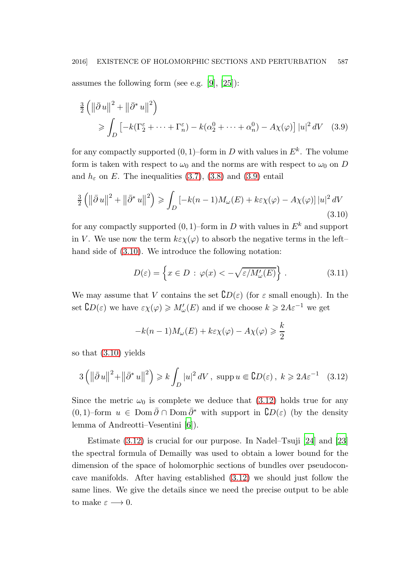assumes the following form (see e.g. [\[9\]](#page-22-5), [\[25](#page-23-13)]):

$$
\frac{3}{2} \left( \left\| \bar{\partial} u \right\|^2 + \left\| \bar{\partial}^* u \right\|^2 \right)
$$
\n
$$
\geqslant \int_D \left[ -k(\Gamma_2^\varepsilon + \dots + \Gamma_n^\varepsilon) - k(\alpha_2^0 + \dots + \alpha_n^0) - A\chi(\varphi) \right] |u|^2 \, dV \quad (3.9)
$$

for any compactly supported  $(0,1)$ -form in D with values in  $E^k$ . The volume form is taken with respect to  $\omega_0$  and the norms are with respect to  $\omega_0$  on D and  $h_{\varepsilon}$  on E. The inequalities [\(3.7\)](#page-7-4), [\(3.8\)](#page-7-5) and [\(3.9\)](#page-8-1) entail

$$
\frac{3}{2}\left(\left\|\bar{\partial} u\right\|^2 + \left\|\bar{\partial}^* u\right\|^2\right) \ge \int_D \left[-k(n-1)M_\omega(E) + k\varepsilon\chi(\varphi) - A\chi(\varphi)\right]|u|^2\,dV\tag{3.10}
$$

for any compactly supported  $(0, 1)$ –form in D with values in  $E^k$  and support in V. We use now the term  $k\varepsilon \chi(\varphi)$  to absorb the negative terms in the left– hand side of [\(3.10\)](#page-8-2). We introduce the following notation:

<span id="page-8-2"></span><span id="page-8-1"></span><span id="page-8-0"></span>
$$
D(\varepsilon) = \left\{ x \in D : \varphi(x) < -\sqrt{\varepsilon/M_{\omega}'(E)} \right\} \,. \tag{3.11}
$$

We may assume that V contains the set  $CD(\varepsilon)$  (for  $\varepsilon$  small enough). In the set  $CD(\varepsilon)$  we have  $\varepsilon \chi(\varphi) \geq M'_{\omega}(E)$  and if we choose  $k \geq 2A\varepsilon^{-1}$  we get

<span id="page-8-3"></span>
$$
-k(n-1)M_{\omega}(E) + k\varepsilon \chi(\varphi) - A\chi(\varphi) \geqslant \frac{k}{2}
$$

so that [\(3.10\)](#page-8-2) yields

$$
3\left(\left\|\bar{\partial}\,u\right\|^2+\left\|\bar{\partial}^*\,u\right\|^2\right)\geq k\int_D|u|^2\,dV\,,\,\,\operatorname{supp} u\in\mathsf{C}D(\varepsilon)\,,\;k\geqslant 2A\varepsilon^{-1}\quad(3.12)
$$

Since the metric  $\omega_0$  is complete we deduce that [\(3.12\)](#page-8-3) holds true for any  $(0, 1)$ –form  $u \in \text{Dom }\bar{\partial} \cap \text{Dom }\bar{\partial}^*$  with support in  $\mathcal{C}D(\varepsilon)$  (by the density lemma of Andreotti–Vesentini [\[6](#page-22-8)]).

Estimate [\(3.12\)](#page-8-3) is crucial for our purpose. In Nadel–Tsuji [\[24](#page-23-4)] and [\[23](#page-23-5)] the spectral formula of Demailly was used to obtain a lower bound for the dimension of the space of holomorphic sections of bundles over pseudoconcave manifolds. After having established [\(3.12\)](#page-8-3) we should just follow the same lines. We give the details since we need the precise output to be able to make  $\varepsilon \longrightarrow 0$ .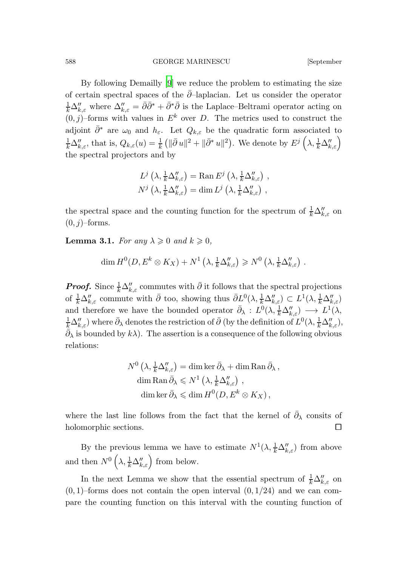By following Demailly [\[9](#page-22-5)] we reduce the problem to estimating the size of certain spectral spaces of the  $\bar{\partial}$ –laplacian. Let us consider the operator  $\frac{1}{k}\Delta''_{k,\varepsilon}$  where  $\Delta''_{k,\varepsilon} = \bar{\partial}\bar{\partial}^* + \bar{\partial}^*\bar{\partial}$  is the Laplace–Beltrami operator acting on  $(0, j)$ –forms with values in  $E^k$  over D. The metrics used to construct the adjoint  $\bar{\partial}^*$  are  $\omega_0$  and  $h_{\varepsilon}$ . Let  $Q_{k,\varepsilon}$  be the quadratic form associated to  $\frac{1}{k}\Delta''_{k,\varepsilon}$ , that is,  $Q_{k,\varepsilon}(u) = \frac{1}{k} \left( \|\bar{\partial} u\|^2 + \|\bar{\partial}^* u\|^2 \right)$ . We denote by  $E^j\left(\lambda, \frac{1}{k}\Delta''_{k,\varepsilon}\right)$ the spectral projectors and by

$$
L^j\left(\lambda, \frac{1}{k}\Delta''_{k,\varepsilon}\right) = \text{Ran}\, E^j\left(\lambda, \frac{1}{k}\Delta''_{k,\varepsilon}\right) ,
$$
  

$$
N^j\left(\lambda, \frac{1}{k}\Delta''_{k,\varepsilon}\right) = \dim L^j\left(\lambda, \frac{1}{k}\Delta''_{k,\varepsilon}\right) ,
$$

the spectral space and the counting function for the spectrum of  $\frac{1}{k} \Delta''_{k,\varepsilon}$  on  $(0, j)$ –forms.

**Lemma 3.1.** For any  $\lambda \geqslant 0$  and  $k \geqslant 0$ ,

$$
\dim H^0(D, E^k \otimes K_X) + N^1 \left( \lambda, \frac{1}{k} \Delta''_{k,\varepsilon} \right) \geq N^0 \left( \lambda, \frac{1}{k} \Delta''_{k,\varepsilon} \right) .
$$

**Proof.** Since  $\frac{1}{k}\Delta''_{k,\varepsilon}$  commutes with  $\bar{\partial}$  it follows that the spectral projections of  $\frac{1}{k}\Delta''_{k,\varepsilon}$  commute with  $\bar{\partial}$  too, showing thus  $\bar{\partial}L^0(\lambda, \frac{1}{k}\Delta''_{k,\varepsilon}) \subset L^1(\lambda, \frac{1}{k}\Delta''_{k,\varepsilon})$ and therefore we have the bounded operator  $\bar{\partial}_{\lambda}: L^{0}(\lambda, \frac{1}{k}\Delta''_{k,\varepsilon}) \longrightarrow L^{1}(\lambda, \frac{1}{k}\Delta''_{k,\varepsilon})$  $\frac{1}{k}\Delta''_{k,\varepsilon}$ ) where  $\bar{\partial}_\lambda$  denotes the restriction of  $\bar{\partial}$  (by the definition of  $L^0(\lambda, \frac{1}{k}\Delta''_{k,\varepsilon})$ ,  $\bar{\partial}_{\lambda}$  is bounded by  $k\lambda$ ). The assertion is a consequence of the following obvious relations:

$$
N^{0} \left(\lambda, \frac{1}{k} \Delta_{k,\varepsilon}''\right) = \dim \ker \bar{\partial}_{\lambda} + \dim \operatorname{Ran} \bar{\partial}_{\lambda},
$$

$$
\dim \operatorname{Ran} \bar{\partial}_{\lambda} \leqslant N^{1} \left(\lambda, \frac{1}{k} \Delta_{k,\varepsilon}''\right),
$$

$$
\dim \ker \bar{\partial}_{\lambda} \leqslant \dim H^{0}(D, E^{k} \otimes K_{X}),
$$

where the last line follows from the fact that the kernel of  $\bar{\partial}_{\lambda}$  consits of holomorphic sections.

By the previous lemma we have to estimate  $N^1(\lambda, \frac{1}{k}\Delta''_{k,\varepsilon})$  from above and then  $N^0\left(\lambda, \frac{1}{k}\Delta''_{k,\varepsilon}\right)$  from below.

In the next Lemma we show that the essential spectrum of  $\frac{1}{k} \Delta''_{k,\varepsilon}$  on  $(0, 1)$ –forms does not contain the open interval  $(0, 1/24)$  and we can compare the counting function on this interval with the counting function of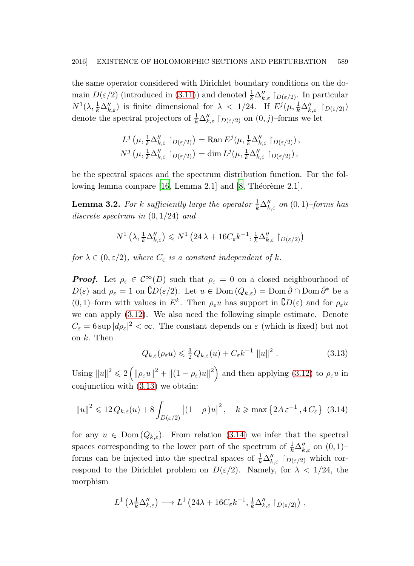the same operator considered with Dirichlet boundary conditions on the domain  $D(\varepsilon/2)$  (introduced in [\(3.11\)](#page-8-0)) and denoted  $\frac{1}{k}\Delta''_{k,\varepsilon}$   $\upharpoonright_{D(\varepsilon/2)}$ . In particular  $N^1(\lambda, \frac{1}{k}\Delta''_{k,\varepsilon})$  is finite dimensional for  $\lambda < 1/24$ . If  $E^j(\mu, \frac{1}{k}\Delta''_{k,\varepsilon} \restriction_{D(\varepsilon/2)})$ denote the spectral projectors of  $\frac{1}{k} \Delta''_{k,\varepsilon} \restriction_{D(\varepsilon/2)}$  on  $(0, j)$ -forms we let

$$
L^j(\mu, \frac{1}{k}\Delta''_{k,\varepsilon} \restriction_{D(\varepsilon/2)}) = \text{Ran}\, E^j(\mu, \frac{1}{k}\Delta''_{k,\varepsilon} \restriction_{D(\varepsilon/2)}),
$$
  

$$
N^j(\mu, \frac{1}{k}\Delta''_{k,\varepsilon} \restriction_{D(\varepsilon/2)}) = \dim L^j(\mu, \frac{1}{k}\Delta''_{k,\varepsilon} \restriction_{D(\varepsilon/2)}),
$$

be the spectral spaces and the spectrum distribution function. For the following lemma compare  $[16, \text{Lemma 2.1}]$  and  $[8, \text{Théorème 2.1}]$ .

**Lemma 3.2.** For k sufficiently large the operator  $\frac{1}{k} \Delta''_{k,\varepsilon}$  on  $(0,1)$ –forms has discrete spectrum in  $(0, 1/24)$  and

$$
N^1\left(\lambda, \frac{1}{k}\Delta''_{k,\varepsilon}\right) \leqslant N^1\left(24\,\lambda + 16C_{\varepsilon}k^{-1}, \frac{1}{k}\Delta''_{k,\varepsilon} \restriction_{D(\varepsilon/2)}\right)
$$

for  $\lambda \in (0, \varepsilon/2)$ , where  $C_{\varepsilon}$  is a constant independent of k.

**Proof.** Let  $\rho_{\varepsilon} \in C^{\infty}(D)$  such that  $\rho_{\varepsilon} = 0$  on a closed neighbourhood of  $D(\varepsilon)$  and  $\rho_{\varepsilon} = 1$  on  $\mathbb{C}D(\varepsilon/2)$ . Let  $u \in \text{Dom}(Q_{k,\varepsilon}) = \text{Dom}\,\overline{\partial} \cap \text{Dom}\,\overline{\partial}^*$  be a  $(0, 1)$ –form with values in  $E^k$ . Then  $\rho_{\varepsilon} u$  has support in  $\mathcal{C}D(\varepsilon)$  and for  $\rho_{\varepsilon} u$ we can apply [\(3.12\)](#page-8-3). We also need the following simple estimate. Denote  $C_{\varepsilon} = 6 \sup |d\rho_{\varepsilon}|^2 < \infty$ . The constant depends on  $\varepsilon$  (which is fixed) but not on  $k$ . Then

<span id="page-10-1"></span><span id="page-10-0"></span>
$$
Q_{k,\varepsilon}(\rho_{\varepsilon} u) \leq \frac{3}{2} Q_{k,\varepsilon}(u) + C_{\varepsilon} k^{-1} \|u\|^2.
$$
 (3.13)

Using  $||u||^2 \leq 2(|\rho_{\varepsilon}u||^2 + ||(1 - \rho_{\varepsilon})u||^2)$  and then applying [\(3.12\)](#page-8-3) to  $\rho_{\varepsilon}u$  in conjunction with [\(3.13\)](#page-10-0) we obtain:

$$
||u||^2 \leq 12 Q_{k,\varepsilon}(u) + 8 \int_{D(\varepsilon/2)} |(1-\rho)u|^2, \quad k \geqslant \max\left\{2A\,\varepsilon^{-1}\,, 4\,C_{\varepsilon}\right\} \tag{3.14}
$$

for any  $u \in \text{Dom}(Q_{k,\varepsilon})$ . From relation [\(3.14\)](#page-10-1) we infer that the spectral spaces corresponding to the lower part of the spectrum of  $\frac{1}{k}\Delta''_{k,\varepsilon}$  on  $(0,1)$ – forms can be injected into the spectral spaces of  $\frac{1}{k}\Delta''_{k,\varepsilon}$  |  $D(\varepsilon/2)$  which correspond to the Dirichlet problem on  $D(\varepsilon/2)$ . Namely, for  $\lambda < 1/24$ , the morphism

$$
L^1\left(\lambda_k^1 \Delta_{k,\varepsilon}''\right) \longrightarrow L^1\left(24\lambda + 16C_{\varepsilon}k^{-1}, \frac{1}{k} \Delta_{k,\varepsilon}''\upharpoonright_{D(\varepsilon/2)}\right),
$$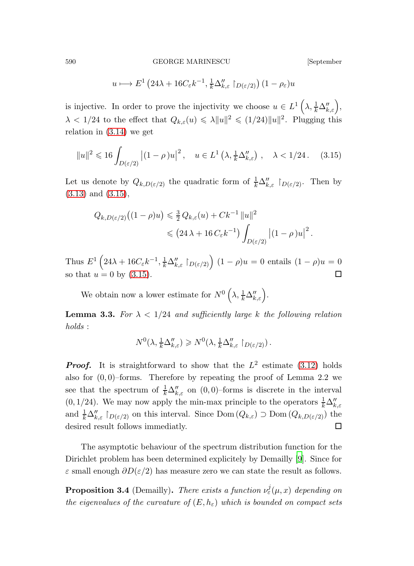<span id="page-11-0"></span>
$$
u \longmapsto E^1\left(24\lambda + 16C_{\varepsilon}k^{-1}, \frac{1}{k}\Delta''_{k,\varepsilon} \restriction_{D(\varepsilon/2)}\right)(1 - \rho_{\varepsilon})u
$$

is injective. In order to prove the injectivity we choose  $u \in L^1\left(\lambda, \frac{1}{k}\Delta_{k,\varepsilon}''\right)$ ,  $\lambda < 1/24$  to the effect that  $Q_{k,\varepsilon}(u) \leq \lambda \|u\|^2 \leq (1/24) \|u\|^2$ . Plugging this relation in [\(3.14\)](#page-10-1) we get

$$
||u||^2 \leq 16 \int_{D(\varepsilon/2)} |(1-\rho)u|^2, \quad u \in L^1(\lambda, \frac{1}{k} \Delta''_{k,\varepsilon}), \quad \lambda < 1/24. \tag{3.15}
$$

Let us denote by  $Q_{k,D(\varepsilon/2)}$  the quadratic form of  $\frac{1}{k}\Delta''_{k,\varepsilon}$   $\upharpoonright_{D(\varepsilon/2)}$ . Then by [\(3.13\)](#page-10-0) and [\(3.15\)](#page-11-0),

$$
Q_{k,D(\varepsilon/2)}\big((1-\rho)u\big) \leq \frac{3}{2}Q_{k,\varepsilon}(u) + Ck^{-1} ||u||^2
$$
  

$$
\leq (24\lambda + 16 C_{\varepsilon}k^{-1}) \int_{D(\varepsilon/2)} |(1-\rho)u|^2.
$$

Thus  $E^1\left(24\lambda+16C_{\varepsilon}k^{-1},\frac{1}{k}\Delta''_{k,\varepsilon}\restriction_{D(\varepsilon/2)}\right)(1-\rho)u=0$  entails  $(1-\rho)u=0$ so that  $u = 0$  by [\(3.15\)](#page-11-0).

We obtain now a lower estimate for  $N^0\left(\lambda, \frac{1}{k}\Delta''_{k,\varepsilon}\right)$ .

**Lemma 3.3.** For  $\lambda < 1/24$  and sufficiently large k the following relation holds :

$$
N^0(\lambda, \frac{1}{k}\Delta''_{k,\varepsilon}) \geq N^0(\lambda, \frac{1}{k}\Delta''_{k,\varepsilon} \restriction_{D(\varepsilon/2)}).
$$

**Proof.** It is straightforward to show that the  $L^2$  estimate [\(3.12\)](#page-8-3) holds also for  $(0, 0)$ –forms. Therefore by repeating the proof of Lemma 2.2 we see that the spectrum of  $\frac{1}{k}\Delta''_{k,\varepsilon}$  on  $(0,0)$ –forms is discrete in the interval (0, 1/24). We may now apply the min-max principle to the operators  $\frac{1}{k}\Delta''_{k,\varepsilon}$ and  $\frac{1}{k}\Delta''_{k,\varepsilon}$   $\upharpoonright_{D(\varepsilon/2)}$  on this interval. Since Dom  $(Q_{k,\varepsilon})$   $\supset$  Dom  $(Q_{k,D(\varepsilon/2)})$  the desired result follows immediatly.

The asymptotic behaviour of the spectrum distribution function for the Dirichlet problem has been determined explicitely by Demailly [\[9](#page-22-5)]. Since for  $\varepsilon$  small enough  $\partial D(\varepsilon/2)$  has measure zero we can state the result as follows.

<span id="page-11-1"></span>**Proposition 3.4** (Demailly). There exists a function  $\nu_{\varepsilon}^{j}(\mu, x)$  depending on the eigenvalues of the curvature of  $(E, h_{\varepsilon})$  which is bounded on compact sets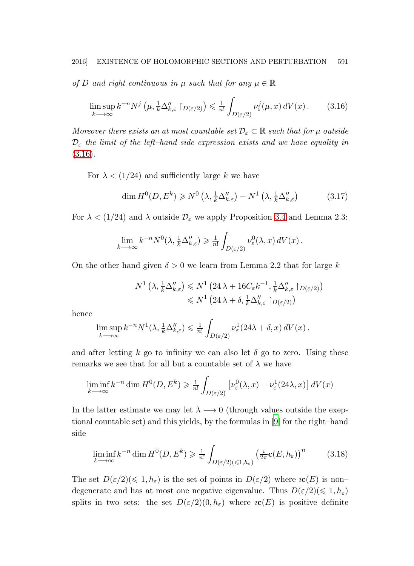of D and right continuous in  $\mu$  such that for any  $\mu \in \mathbb{R}$ 

<span id="page-12-0"></span>
$$
\limsup_{k \to \infty} k^{-n} N^j \left( \mu, \frac{1}{k} \Delta''_{k,\varepsilon} \upharpoonright_{D(\varepsilon/2)} \right) \leq \frac{1}{n!} \int_{D(\varepsilon/2)} \nu_{\varepsilon}^j(\mu, x) \, dV(x) \,. \tag{3.16}
$$

Moreover there exists an at most countable set  $\mathcal{D}_{\varepsilon} \subset \mathbb{R}$  such that for  $\mu$  outside  $\mathcal{D}_{\varepsilon}$  the limit of the left-hand side expression exists and we have equality in  $(3.16).$  $(3.16).$ 

For  $\lambda < (1/24)$  and sufficiently large k we have

$$
\dim H^0(D, E^k) \ge N^0\left(\lambda, \frac{1}{k}\Delta''_{k,\varepsilon}\right) - N^1\left(\lambda, \frac{1}{k}\Delta''_{k,\varepsilon}\right) \tag{3.17}
$$

For  $\lambda < (1/24)$  and  $\lambda$  outside  $\mathcal{D}_{\varepsilon}$  we apply Proposition [3.4](#page-11-1) and Lemma 2.3:

$$
\lim_{k \to \infty} k^{-n} N^0(\lambda, \frac{1}{k} \Delta''_{k,\varepsilon}) \geq \frac{1}{n!} \int_{D(\varepsilon/2)} \nu_{\varepsilon}^0(\lambda, x) dV(x) .
$$

On the other hand given  $\delta > 0$  we learn from Lemma 2.2 that for large k

$$
N^1\left(\lambda, \frac{1}{k}\Delta''_{k,\varepsilon}\right) \leq N^1\left(24\lambda + 16C_{\varepsilon}k^{-1}, \frac{1}{k}\Delta''_{k,\varepsilon} \restriction_{D(\varepsilon/2)}\right)
$$
  

$$
\leq N^1\left(24\lambda + \delta, \frac{1}{k}\Delta''_{k,\varepsilon} \restriction_{D(\varepsilon/2)}\right)
$$

hence

$$
\limsup_{k \to \infty} k^{-n} N^1(\lambda, \frac{1}{k} \Delta''_{k,\varepsilon}) \leq \frac{1}{n!} \int_{D(\varepsilon/2)} \nu_{\varepsilon}^1(24\lambda + \delta, x) dV(x).
$$

and after letting k go to infinity we can also let  $\delta$  go to zero. Using these remarks we see that for all but a countable set of  $\lambda$  we have

$$
\liminf_{k \to \infty} k^{-n} \dim H^0(D, E^k) \ge \frac{1}{n!} \int_{D(\varepsilon/2)} \left[ \nu_{\varepsilon}^0(\lambda, x) - \nu_{\varepsilon}^1(24\lambda, x) \right] dV(x)
$$

In the latter estimate we may let  $\lambda \longrightarrow 0$  (through values outside the exeptional countable set) and this yields, by the formulas in [\[9](#page-22-5)] for the right–hand side

<span id="page-12-1"></span>
$$
\liminf_{k \to \infty} k^{-n} \dim H^0(D, E^k) \ge \frac{1}{n!} \int_{D(\varepsilon/2)(\le 1, h_\varepsilon)} \left(\frac{i}{2\pi} \mathbf{c}(E, h_\varepsilon)\right)^n \tag{3.18}
$$

The set  $D(\varepsilon/2)(\leq 1, h_{\varepsilon})$  is the set of points in  $D(\varepsilon/2)$  where  $i\mathbf{c}(E)$  is nondegenerate and has at most one negative eigenvalue. Thus  $D(\varepsilon/2)(\leq 1, h_{\varepsilon})$ splits in two sets: the set  $D(\varepsilon/2)(0, h_{\varepsilon})$  where  $\iota\mathbf{c}(E)$  is positive definite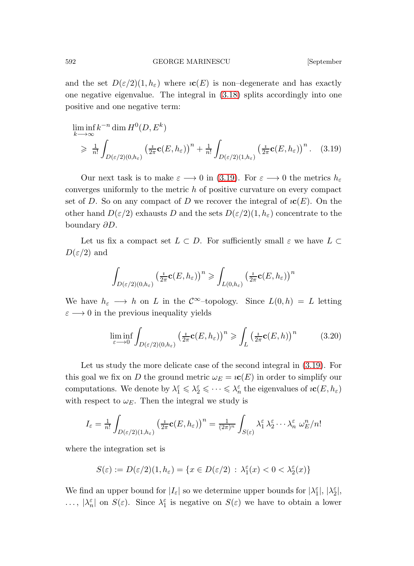and the set  $D(\varepsilon/2)(1, h_{\varepsilon})$  where  $i\mathbf{c}(E)$  is non-degenerate and has exactly one negative eigenvalue. The integral in [\(3.18\)](#page-12-1) splits accordingly into one positive and one negative term:

<span id="page-13-0"></span>
$$
\liminf_{k \to \infty} k^{-n} \dim H^0(D, E^k)
$$
\n
$$
\geq \frac{1}{n!} \int_{D(\varepsilon/2)(0, h_{\varepsilon})} \left(\frac{i}{2\pi} \mathbf{c}(E, h_{\varepsilon})\right)^n + \frac{1}{n!} \int_{D(\varepsilon/2)(1, h_{\varepsilon})} \left(\frac{i}{2\pi} \mathbf{c}(E, h_{\varepsilon})\right)^n. \quad (3.19)
$$

Our next task is to make  $\varepsilon \longrightarrow 0$  in [\(3.19\)](#page-13-0). For  $\varepsilon \longrightarrow 0$  the metrics  $h_{\varepsilon}$ converges uniformly to the metric h of positive curvature on every compact set of D. So on any compact of D we recover the integral of  $\mathcal{IC}(E)$ . On the other hand  $D(\varepsilon/2)$  exhausts D and the sets  $D(\varepsilon/2)(1, h_{\varepsilon})$  concentrate to the boundary ∂D.

Let us fix a compact set  $L \subset D$ . For sufficiently small  $\varepsilon$  we have  $L \subset$  $D(\varepsilon/2)$  and

$$
\int_{D(\varepsilon/2)(0,h_{\varepsilon})} \left(\frac{\imath}{2\pi} \mathbf{c}(E,h_{\varepsilon})\right)^n \geqslant \int_{L(0,h_{\varepsilon})} \left(\frac{\imath}{2\pi} \mathbf{c}(E,h_{\varepsilon})\right)^n
$$

We have  $h_{\varepsilon} \longrightarrow h$  on L in the  $\mathcal{C}^{\infty}$ -topology. Since  $L(0,h) = L$  letting  $\varepsilon \longrightarrow 0$  in the previous inequality yields

<span id="page-13-1"></span>
$$
\liminf_{\varepsilon \to 0} \int_{D(\varepsilon/2)(0,h_{\varepsilon})} \left(\frac{\iota}{2\pi} \mathbf{c}(E,h_{\varepsilon})\right)^n \geqslant \int_L \left(\frac{\iota}{2\pi} \mathbf{c}(E,h)\right)^n \tag{3.20}
$$

Let us study the more delicate case of the second integral in [\(3.19\)](#page-13-0). For this goal we fix on D the ground metric  $\omega_E = i c(E)$  in order to simplify our computations. We denote by  $\lambda_1^{\varepsilon} \leq \lambda_2^{\varepsilon} \leq \cdots \leq \lambda_n^{\varepsilon}$  the eigenvalues of  $i\mathbf{c}(E, h_{\varepsilon})$ with respect to  $\omega_E$ . Then the integral we study is

$$
I_{\varepsilon} = \frac{1}{n!} \int_{D(\varepsilon/2)(1,h_{\varepsilon})} \left(\frac{\imath}{2\pi} \mathbf{c}(E,h_{\varepsilon})\right)^n = \frac{1}{(2\pi)^n} \int_{S(\varepsilon)} \lambda_1^{\varepsilon} \lambda_2^{\varepsilon} \cdots \lambda_n^{\varepsilon} \omega_E^n/n!
$$

where the integration set is

$$
S(\varepsilon) := D(\varepsilon/2)(1, h_{\varepsilon}) = \{ x \in D(\varepsilon/2) : \lambda_1^{\varepsilon}(x) < 0 < \lambda_2^{\varepsilon}(x) \}
$$

We find an upper bound for  $|I_{\varepsilon}|$  so we determine upper bounds for  $|\lambda_1^{\varepsilon}|, |\lambda_2^{\varepsilon}|$ , ...,  $|\lambda_n^{\varepsilon}|$  on  $S(\varepsilon)$ . Since  $\lambda_1^{\varepsilon}$  is negative on  $S(\varepsilon)$  we have to obtain a lower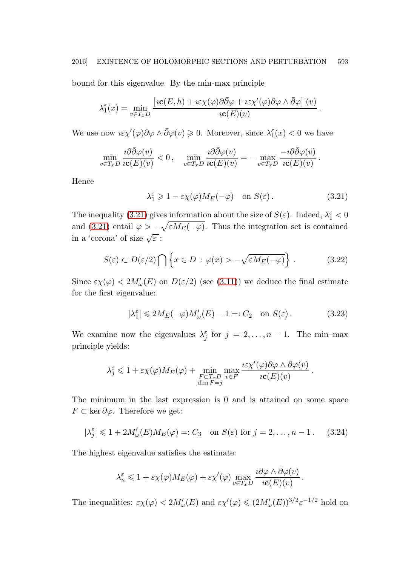bound for this eigenvalue. By the min-max principle

$$
\lambda_1^{\varepsilon}(x) = \min_{v \in T_x D} \frac{\left[ i \mathbf{c}(E, h) + i \varepsilon \chi(\varphi) \partial \bar{\partial} \varphi + i \varepsilon \chi'(\varphi) \partial \varphi \wedge \bar{\partial} \varphi \right] (v)}{i \mathbf{c}(E)(v)}
$$

We use now  $i \varepsilon \chi'(\varphi) \partial \varphi \wedge \bar{\partial} \varphi(v) \geq 0$ . Moreover, since  $\lambda_1^{\varepsilon}(x) < 0$  we have

$$
\min_{v \in T_x D} \frac{\imath \partial \bar \partial \varphi(v)}{\imath \mathbf{c}(E)(v)} < 0\,, \quad \min_{v \in T_x D} \frac{\imath \partial \bar \partial \varphi(v)}{\imath \mathbf{c}(E)(v)} = - \max_{v \in T_x D} \frac{-\imath \partial \bar \partial \varphi(v)}{\imath \mathbf{c}(E)(v)}\,.
$$

<span id="page-14-0"></span>Hence

<span id="page-14-1"></span>
$$
\lambda_1^{\varepsilon} \geq 1 - \varepsilon \chi(\varphi) M_E(-\varphi) \quad \text{on } S(\varepsilon). \tag{3.21}
$$

.

The inequality [\(3.21\)](#page-14-0) gives information about the size of  $S(\varepsilon)$ . Indeed,  $\lambda_1^{\varepsilon} < 0$ and [\(3.21\)](#page-14-0) entail  $\varphi > -\sqrt{\varepsilon M_E(-\varphi)}$ . Thus the integration set is contained in a 'corona' of size  $\sqrt{\varepsilon}$ :

$$
S(\varepsilon) \subset D(\varepsilon/2) \bigcap \left\{ x \in D : \varphi(x) > -\sqrt{\varepsilon M_E(-\varphi)} \right\}.
$$
 (3.22)

Since  $\varepsilon \chi(\varphi) < 2M'_{\omega}(E)$  on  $D(\varepsilon/2)$  (see [\(3.11\)](#page-8-0)) we deduce the final estimate for the first eigenvalue:

<span id="page-14-2"></span>
$$
|\lambda_1^{\varepsilon}| \leq 2M_E(-\varphi)M_{\omega}'(E) - 1 =: C_2 \quad \text{on } S(\varepsilon).
$$
 (3.23)

We examine now the eigenvalues  $\lambda_j^{\varepsilon}$  for  $j = 2, ..., n - 1$ . The min-max principle yields:

<span id="page-14-3"></span>
$$
\lambda_j^{\varepsilon} \leq 1 + \varepsilon \chi(\varphi) M_E(\varphi) + \min_{\substack{F \subset T_x D \\ \dim F = j}} \max_{v \in F} \frac{\iota \varepsilon \chi'(\varphi) \partial \varphi \wedge \bar{\partial} \varphi(v)}{\iota \mathbf{c}(E)(v)}.
$$

The minimum in the last expression is 0 and is attained on some space  $F \subset \text{ker } \partial \varphi$ . Therefore we get:

$$
|\lambda_j^{\varepsilon}| \leq 1 + 2M'_{\omega}(E)M_E(\varphi) =: C_3 \quad \text{on } S(\varepsilon) \text{ for } j = 2, \dots, n - 1. \tag{3.24}
$$

The highest eigenvalue satisfies the estimate:

$$
\lambda_n^{\varepsilon} \leq 1 + \varepsilon \chi(\varphi) M_E(\varphi) + \varepsilon \chi'(\varphi) \max_{v \in T_x D} \frac{\partial \varphi \wedge \bar{\partial} \varphi(v)}{\iota \mathbf{c}(E)(v)}.
$$

The inequalities:  $\varepsilon \chi(\varphi) < 2M'_{\omega}(E)$  and  $\varepsilon \chi'(\varphi) \leq (2M'_{\omega}(E))^{3/2} \varepsilon^{-1/2}$  hold on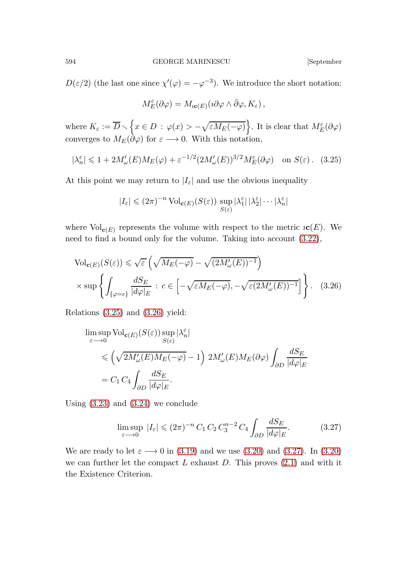$D(\varepsilon/2)$  (the last one since  $\chi'(\varphi) = -\varphi^{-3}$ ). We introduce the short notation:

<span id="page-15-0"></span>
$$
M_E^{\varepsilon}(\partial\varphi)=M_{i\mathbf{c}(E)}(i\partial\varphi\wedge\bar{\partial}\varphi,K_{\varepsilon}),
$$

where  $K_{\varepsilon} := \overline{D} \setminus \left\{ x \in D \, : \, \varphi(x) > -\sqrt{\varepsilon M_E(-\varphi)} \right\}$ . It is clear that  $M_E^{\varepsilon}(\partial \varphi)$ converges to  $M_E(\partial \varphi)$  for  $\varepsilon \longrightarrow 0$ . With this notation,

$$
|\lambda_n^{\varepsilon}| \leq 1 + 2M'_{\omega}(E)M_E(\varphi) + \varepsilon^{-1/2} (2M'_{\omega}(E))^{3/2}M_E^{\varepsilon}(\partial\varphi) \quad \text{on } S(\varepsilon). \tag{3.25}
$$

At this point we may return to  $|I_{\varepsilon}|$  and use the obvious inequality

<span id="page-15-1"></span>
$$
|I_{\varepsilon}| \leqslant (2\pi)^{-n} \operatorname{Vol}_{\mathbf{c}(E)}(S(\varepsilon)) \sup_{S(\varepsilon)} |\lambda_1^{\varepsilon}| \, |\lambda_2^{\varepsilon}| \cdots |\lambda_n^{\varepsilon}|
$$

where  $\text{Vol}_{\mathbf{c}(E)}$  represents the volume with respect to the metric  $\iota\mathbf{c}(E)$ . We need to find a bound only for the volume. Taking into account [\(3.22\)](#page-14-1),

$$
\text{Vol}_{\mathbf{c}(E)}(S(\varepsilon)) \leq \sqrt{\varepsilon} \left( \sqrt{M_E(-\varphi)} - \sqrt{(2M'_{\omega}(E))^{-1}} \right) \times \sup \left\{ \int_{\{\varphi = c\}} \frac{dS_E}{|d\varphi|_E} : c \in \left[ -\sqrt{\varepsilon M_E(-\varphi)}, -\sqrt{\varepsilon (2M'_{\omega}(E))^{-1}} \right] \right\}. \quad (3.26)
$$

Relations [\(3.25\)](#page-15-0) and [\(3.26\)](#page-15-1) yield:

$$
\begin{split} & \limsup_{\varepsilon \longrightarrow 0} \text{Vol}_{\mathbf{c}(E)}(S(\varepsilon)) \sup_{S(\varepsilon)} |\lambda_n^{\varepsilon}| \\ & \leqslant \left( \sqrt{2M_{\omega}'(E)M_E(-\varphi)} - 1 \right) \, 2M_{\omega}'(E)M_E(\partial \varphi) \int_{\partial D} \frac{dS_E}{|d\varphi|_E} \\ & = C_1 \, C_4 \int_{\partial D} \frac{dS_E}{|d\varphi|_E}. \end{split}
$$

Using  $(3.23)$  and  $(3.24)$  we conclude

<span id="page-15-2"></span>
$$
\limsup_{\varepsilon \to 0} |I_{\varepsilon}| \leqslant (2\pi)^{-n} C_1 C_2 C_3^{n-2} C_4 \int_{\partial D} \frac{dS_E}{|d\varphi|_E}.
$$
 (3.27)

We are ready to let  $\varepsilon \longrightarrow 0$  in [\(3.19\)](#page-13-0) and we use [\(3.20\)](#page-13-1) and [\(3.27\)](#page-15-2). In (3.20) we can further let the compact  $L$  exhaust  $D$ . This proves  $(2.1)$  and with it the Existence Criterion.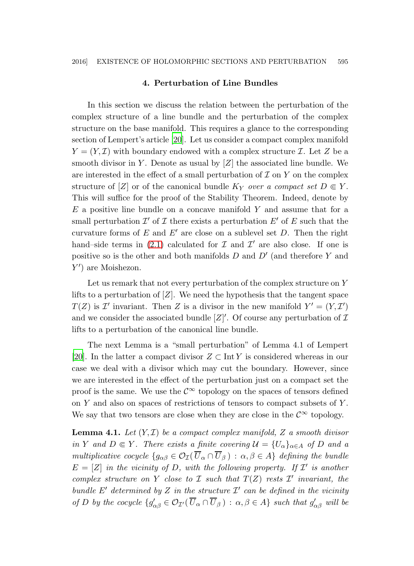#### 4. Perturbation of Line Bundles

In this section we discuss the relation between the perturbation of the complex structure of a line bundle and the perturbation of the complex structure on the base manifold. This requires a glance to the corresponding section of Lempert's article [\[20\]](#page-23-15). Let us consider a compact complex manifold  $Y = (Y, \mathcal{I})$  with boundary endowed with a complex structure  $\mathcal{I}$ . Let Z be a smooth divisor in Y. Denote as usual by  $[Z]$  the associated line bundle. We are interested in the effect of a small perturbation of  $\mathcal I$  on  $Y$  on the complex structure of [Z] or of the canonical bundle  $K_Y$  over a compact set  $D \in Y$ . This will suffice for the proof of the Stability Theorem. Indeed, denote by  $E$  a positive line bundle on a concave manifold Y and assume that for a small perturbation  $\mathcal{I}'$  of  $\mathcal I$  there exists a perturbation  $E'$  of  $E$  such that the curvature forms of  $E$  and  $E'$  are close on a sublevel set  $D$ . Then the right hand–side terms in [\(2.1\)](#page-4-0) calculated for  $\mathcal I$  and  $\mathcal I'$  are also close. If one is positive so is the other and both manifolds  $D$  and  $D'$  (and therefore Y and Y ′ ) are Moishezon.

Let us remark that not every perturbation of the complex structure on Y lifts to a perturbation of  $|Z|$ . We need the hypothesis that the tangent space  $T(Z)$  is  $\mathcal{I}'$  invariant. Then Z is a divisor in the new manifold  $Y' = (Y, \mathcal{I}')$ and we consider the associated bundle  $[Z]'$ . Of course any perturbation of  $\mathcal I$ lifts to a perturbation of the canonical line bundle.

The next Lemma is a "small perturbation" of Lemma 4.1 of Lempert [\[20](#page-23-15)]. In the latter a compact divisor  $Z \subset \text{Int } Y$  is considered whereas in our case we deal with a divisor which may cut the boundary. However, since we are interested in the effect of the perturbation just on a compact set the proof is the same. We use the  $\mathcal{C}^{\infty}$  topology on the spaces of tensors defined on  $Y$  and also on spaces of restrictions of tensors to compact subsets of  $Y$ . We say that two tensors are close when they are close in the  $\mathcal{C}^{\infty}$  topology.

**Lemma 4.1.** Let  $(Y, \mathcal{I})$  be a compact complex manifold, Z a smooth divisor in Y and  $D \in Y$ . There exists a finite covering  $\mathcal{U} = \{U_{\alpha}\}_{{\alpha \in A}}$  of D and a multiplicative cocycle  $\{g_{\alpha\beta} \in \mathcal{O}_{\mathcal{I}}(\overline{U}_{\alpha} \cap \overline{U}_{\beta}) : \alpha, \beta \in A\}$  defining the bundle  $E = [Z]$  in the vicinity of D, with the following property. If  $\mathcal{I}'$  is another complex structure on Y close to I such that  $T(Z)$  rests  $\mathcal{I}'$  invariant, the bundle E' determined by Z in the structure  $\mathcal{I}'$  can be defined in the vicinity of D by the cocycle  $\{g'_{\alpha\beta} \in \mathcal{O}_{\mathcal{I}'}(\overline{U}_{\alpha} \cap \overline{U}_{\beta}) : \alpha, \beta \in A\}$  such that  $g'_{\alpha\beta}$  will be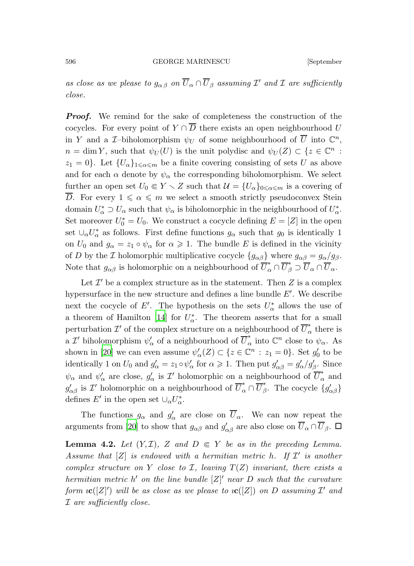as close as we please to  $g_{\alpha\beta}$  on  $\overline{U}_{\alpha} \cap \overline{U}_{\beta}$  assuming  $\mathcal{I}'$  and  $\mathcal{I}$  are sufficiently close.

**Proof.** We remind for the sake of completeness the construction of the cocycles. For every point of  $Y \cap \overline{D}$  there exists an open neighbourhood U in Y and a *I*-biholomorphism  $\psi_U$  of some neighbourhood of  $\overline{U}$  into  $\mathbb{C}^n$ ,  $n = \dim Y$ , such that  $\psi_U(U)$  is the unit polydisc and  $\psi_U(Z) \subset \{z \in \mathbb{C}^n :$  $z_1 = 0$ . Let  $\{U_\alpha\}_{1 \leq \alpha \leq m}$  be a finite covering consisting of sets U as above and for each  $\alpha$  denote by  $\psi_\alpha$  the corresponding biholomorphism. We select further an open set  $U_0 \n\t\in Y \setminus Z$  such that  $\mathcal{U} = \{U_\alpha\}_{0 \leq \alpha \leq m}$  is a covering of  $\overline{D}$ . For every  $1 \leq \alpha \leq m$  we select a smooth strictly pseudoconvex Stein domain  $U^*_{\alpha} \supset U_{\alpha}$  such that  $\psi_{\alpha}$  is biholomorphic in the neighbourhood of  $U^*_{\alpha}$ . Set moreover  $U_0^* = U_0$ . We construct a cocycle defining  $E = [Z]$  in the open set  $\cup_{\alpha} U_{\alpha}^*$  as follows. First define functions  $g_{\alpha}$  such that  $g_0$  is identically 1 on  $U_0$  and  $g_\alpha = z_1 \circ \psi_\alpha$  for  $\alpha \geq 1$ . The bundle E is defined in the vicinity of D by the I holomorphic multiplicative cocycle  $\{g_{\alpha\beta}\}\$  where  $g_{\alpha\beta} = g_{\alpha}/g_{\beta}$ . Note that  $g_{\alpha\beta}$  is holomorphic on a neighbourhood of  $\overline{U}_{\alpha}^* \cap \overline{U}_{\beta}^* \supset \overline{U}_{\alpha} \cap \overline{U}_{\alpha}$ .

Let  $\mathcal{I}'$  be a complex structure as in the statement. Then Z is a complex hypersurface in the new structure and defines a line bundle  $E'$ . We describe next the cocycle of E'. The hypothesis on the sets  $U^*_{\alpha}$  allows the use of a theorem of Hamilton [\[14](#page-23-16)] for  $U^*_{\alpha}$ . The theorem asserts that for a small perturbation  $\mathcal{I}'$  of the complex structure on a neighbourhood of  $\overline{U}_o^*$  $\alpha$  there is a  $\mathcal{I}'$ biholomorphism $\psi'_\alpha$  of a neighbourhood of  $\overline{U}^*_\alpha$  $_{\alpha}^*$  into  $\mathbb{C}^n$  close to  $\psi_{\alpha}$ . As shown in [\[20\]](#page-23-15) we can even assume  $\psi_{\alpha}'(Z) \subset \{z \in \mathbb{C}^n : z_1 = 0\}$ . Set  $g_0'$  to be identically 1 on  $U_0$  and  $g'_\alpha = z_1 \circ \psi'_\alpha$  for  $\alpha \geq 1$ . Then put  $g'_{\alpha\beta} = g'_\alpha/g'_\beta$ . Since  $\psi_{\alpha}$  and  $\psi'_{\alpha}$  are close,  $g'_{\alpha}$  is  $\mathcal{I}'$  holomorphic on a neighbourhood of  $\overline{U}_{\alpha}^{*}$  and  $g'_{\alpha\beta}$  is  $\mathcal{I}'$  holomorphic on a neighbourhood of  $\overline{U}_{\alpha}^*\cap\overline{U}_{\beta}^*$ <sup>\*</sup><sub>β</sub>. The cocycle  $\{g'_{\alpha\beta}\}\)$ defines  $E'$  in the open set  $\cup_{\alpha} U_{\alpha}^*$ .

<span id="page-17-0"></span>The functions  $g_{\alpha}$  and  $g'_{\alpha}$  are close on  $\overline{U}_{\alpha}$ . We can now repeat the arguments from [\[20](#page-23-15)] to show that  $g_{\alpha\beta}$  and  $g'_{\alpha\beta}$  are also close on  $\overline{U}_{\alpha} \cap \overline{U}_{\beta}$ .  $\Box$ 

**Lemma 4.2.** Let  $(Y, \mathcal{I})$ , Z and  $D \in Y$  be as in the preceding Lemma. Assume that  $[Z]$  is endowed with a hermitian metric h. If  $\mathcal{I}'$  is another complex structure on Y close to I, leaving  $T(Z)$  invariant, there exists a hermitian metric  $h'$  on the line bundle  $[Z]'$  near  $D$  such that the curvature form  $\mathit{ic}([Z]')$  will be as close as we please to  $\mathit{ic}([Z])$  on  $D$  assuming  $\mathcal{I}'$  and I are sufficiently close.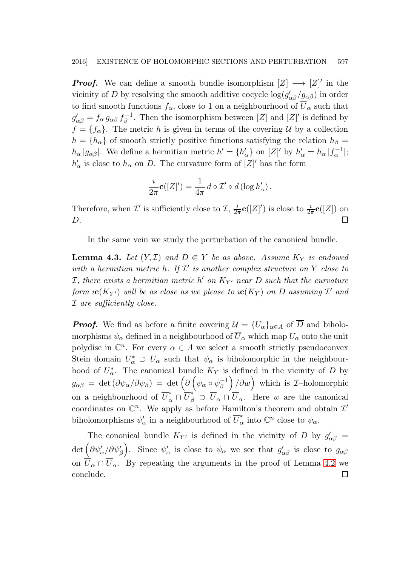**Proof.** We can define a smooth bundle isomorphism  $[Z] \longrightarrow [Z]'$  in the vicinity of D by resolving the smooth additive cocycle  $\log(g'_{\alpha\beta}/g_{\alpha\beta})$  in order to find smooth functions  $f_{\alpha}$ , close to 1 on a neighbourhood of  $\overline{U}_{\alpha}$  such that  $g'_{\alpha\beta}=f_\alpha\,g_{\alpha\beta}\,f_\beta^{-1}$  $\mathcal{E}_{\beta}^{-1}$ . Then the isomorphism between  $[Z]$  and  $[Z]'$  is defined by  $f = \{f_{\alpha}\}.$  The metric h is given in terms of the covering U by a collection  $h = \{h_{\alpha}\}\$  of smooth strictly positive functions satisfying the relation  $h_{\beta} =$  $h_{\alpha} |g_{\alpha\beta}|$ . We define a hermitian metric  $h' = \{h'_{\alpha}\}\$  on  $[Z]'$  by  $h'_{\alpha} = h_{\alpha} |f_{\alpha}^{-1}|$ ;  $h'_{\alpha}$  is close to  $h_{\alpha}$  on D. The curvature form of  $[Z]'$  has the form

$$
\frac{i}{2\pi}\mathbf{c}([Z]') = \frac{1}{4\pi} d \circ \mathcal{I}' \circ d (\log h'_{\alpha}).
$$

Therefore, when  $\mathcal{I}'$  is sufficiently close to  $\mathcal{I}, \frac{\imath}{2}$  $\frac{i}{2\pi}$ **c**([Z]') is close to  $\frac{i}{2\pi}$ **c**([Z]) on  $D.$ 

In the same vein we study the perturbation of the canonical bundle.

**Lemma 4.3.** Let  $(Y, \mathcal{I})$  and  $D \in Y$  be as above. Assume  $K_Y$  is endowed with a hermitian metric h. If  $\mathcal{I}'$  is another complex structure on Y close to  $I$ , there exists a hermitian metric  $h'$  on  $K_{Y'}$  near  $D$  such that the curvature form  $\iota {\bf c}(K_{Y'})$  will be as close as we please to  $\iota {\bf c}(K_{Y})$  on  $D$  assuming  ${\cal I}'$  and I are sufficiently close.

**Proof.** We find as before a finite covering  $\mathcal{U} = \{U_{\alpha}\}_{{\alpha \in A}}$  of  $\overline{D}$  and biholomorphisms  $\psi_{\alpha}$  defined in a neighbourhood of  $\overline{U}_{\alpha}$  which map  $U_{\alpha}$  onto the unit polydisc in  $\mathbb{C}^n$ . For every  $\alpha \in A$  we select a smooth strictly pseudoconvex Stein domain  $U^*_{\alpha} \supset U_{\alpha}$  such that  $\psi_{\alpha}$  is biholomorphic in the neighbourhood of  $U^*_{\alpha}$ . The canonical bundle  $K_Y$  is defined in the vicinity of D by  $g_{\alpha\beta} \,=\, \det\left(\partial\psi_\alpha/\partial\psi_\beta\right) \,=\, \det\Big(\partial\left(\psi_\alpha\circ\psi_\beta^{-1}\right)$  $\left(\begin{matrix} -1 \\ \beta \end{matrix}\right)/\partial w$  which is *I*-holomorphic on a neighbourhood of  $\overline{U}_{\alpha}^* \cap \overline{U}_{\beta}^* \supset \overline{U}_{\alpha} \cap \overline{U}_{\alpha}$ . Here w are the canonical coordinates on  $\mathbb{C}^n$ . We apply as before Hamilton's theorem and obtain  $\mathcal{I}'$ biholomorphisms  $\psi'_\alpha$  in a neighbourhood of  $\overline{U}_\alpha^*$  into  $\mathbb{C}^n$  close to  $\psi_\alpha$ .

The cononical bundle  $K_{Y'}$  is defined in the vicinity of D by  $g'_{\alpha\beta}$  =  $\det \left( \partial \psi'_\alpha / \partial \psi'_\beta \right)$ . Since  $\psi'_\alpha$  is close to  $\psi_\alpha$  we see that  $g'_{\alpha\beta}$  is close to  $g_{\alpha\beta}$ on  $\overline{U}_{\alpha} \cap \overline{U}_{\alpha}$ . By repeating the arguments in the proof of Lemma [4.2](#page-17-0) we  $\Box$ conclude.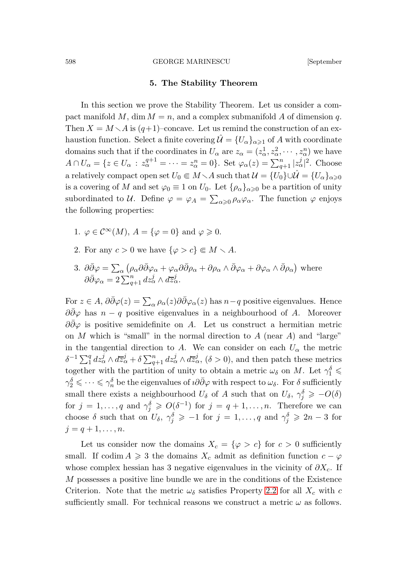### 5. The Stability Theorem

In this section we prove the Stability Theorem. Let us consider a compact manifold M, dim  $M = n$ , and a complex submanifold A of dimension q. Then  $X = M \setminus A$  is  $(q+1)$ –concave. Let us remind the construction of an exhaustion function. Select a finite covering  $\mathcal{U} = \{U_{\alpha}\}_{{\alpha \geq 1}}$  of A with coordinate domains such that if the coordinates in  $U_{\alpha}$  are  $z_{\alpha} = (z_{\alpha}^1, z_{\alpha}^2, \cdots, z_{\alpha}^n)$  we have  $A \cap U_{\alpha} = \{z \in U_{\alpha} : z_{\alpha}^{q+1} = \cdots = z_{\alpha}^{n} = 0\}.$  Set  $\varphi_{\alpha}(z) = \sum_{q+1}^{n} |z_{\alpha}^{j}|^{2}$ . Choose a relatively compact open set  $U_0 \subseteq M \setminus A$  such that  $\mathcal{U} = \{U_0\} \cup \mathcal{U} = \{U_\alpha\}_{\alpha \geq 0}$ is a covering of M and set  $\varphi_0 \equiv 1$  on  $U_0$ . Let  $\{\rho_\alpha\}_{\alpha \geq 0}$  be a partition of unity subordinated to U. Define  $\varphi = \varphi_A = \sum_{\alpha \geq 0} \rho_\alpha \varphi_\alpha$ . The function  $\varphi$  enjoys the following properties:

- 1.  $\varphi \in C^{\infty}(M)$ ,  $A = {\varphi = 0}$  and  $\varphi \ge 0$ .
- 2. For any  $c > 0$  we have  $\{\varphi > c\} \in M \setminus A$ .
- 3.  $\partial \bar{\partial} \varphi = \sum_{\alpha} (\rho_{\alpha} \partial \bar{\partial} \varphi_{\alpha} + \varphi_{\alpha} \partial \bar{\partial} \rho_{\alpha} + \partial \rho_{\alpha} \wedge \bar{\partial} \varphi_{\alpha} + \partial \varphi_{\alpha} \wedge \bar{\partial} \rho_{\alpha})$  where  $\partial \bar{\partial} \varphi_{\alpha} = 2 \sum_{q+1}^{n} dz_{\alpha}^{j} \wedge d\overline{z}_{\alpha}^{j}.$

For  $z \in A$ ,  $\partial \bar{\partial} \varphi(z) = \sum_{\alpha} \rho_{\alpha}(z) \partial \bar{\partial} \varphi_{\alpha}(z)$  has  $n-q$  positive eigenvalues. Hence  $\partial \partial \varphi$  has  $n - q$  positive eigenvalues in a neighbourhood of A. Moreover  $\partial \overline{\partial} \varphi$  is positive semidefinite on A. Let us construct a hermitian metric on M which is "small" in the normal direction to A (near A) and "large" in the tangential direction to A. We can consider on each  $U_{\alpha}$  the metric  $\delta^{-1} \sum_{1}^{q} dz_{\alpha}^{j} \wedge d\overline{z}_{\alpha}^{j} + \delta \sum_{q+1}^{n} dz_{\alpha}^{j} \wedge d\overline{z}_{\alpha}^{j}, (\delta > 0)$ , and then patch these metrics together with the partition of unity to obtain a metric  $\omega_{\delta}$  on M. Let  $\gamma_1^{\delta} \leq$  $\gamma_2^{\delta} \leq \cdots \leq \gamma_n^{\delta}$  be the eigenvalues of  $i\partial\bar{\partial}\varphi$  with respect to  $\omega_{\delta}$ . For  $\delta$  sufficiently small there exists a neighbourhood  $U_{\delta}$  of A such that on  $U_{\delta}$ ,  $\gamma_j^{\delta} \geq -O(\delta)$ for  $j = 1, ..., q$  and  $\gamma_j^{\delta} \geqslant O(\delta^{-1})$  for  $j = q + 1, ..., n$ . Therefore we can choose  $\delta$  such that on  $U_{\delta}$ ,  $\gamma_j^{\delta} \geqslant -1$  for  $j = 1, \ldots, q$  and  $\gamma_j^{\delta} \geqslant 2n - 3$  for  $j = q + 1, \ldots, n.$ 

Let us consider now the domains  $X_c = \{ \varphi > c \}$  for  $c > 0$  sufficiently small. If codim  $A \geq 3$  the domains  $X_c$  admit as definition function  $c - \varphi$ whose complex hessian has 3 negative eigenvalues in the vicinity of  $\partial X_c$ . If M possesses a positive line bundle we are in the conditions of the Existence Criterion. Note that the metric  $\omega_{\delta}$  satisfies Property [2.2](#page-4-1) for all  $X_c$  with c sufficiently small. For technical reasons we construct a metric  $\omega$  as follows.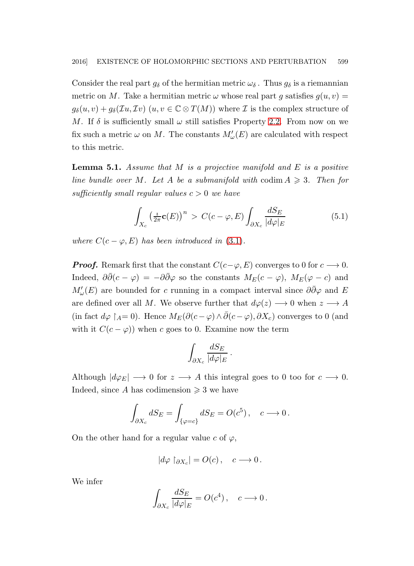Consider the real part  $g_{\delta}$  of the hermitian metric  $\omega_{\delta}$ . Thus  $g_{\delta}$  is a riemannian metric on M. Take a hermitian metric  $\omega$  whose real part g satisfies  $g(u, v) =$  $g_{\delta}(u, v) + g_{\delta}(\mathcal{I}u, \mathcal{I}v)$   $(u, v \in \mathbb{C} \otimes T(M))$  where  $\mathcal I$  is the complex structure of M. If  $\delta$  is sufficiently small  $\omega$  still satisfies Property [2.2.](#page-4-1) From now on we fix such a metric  $\omega$  on M. The constants  $M'_{\omega}(E)$  are calculated with respect to this metric.

**Lemma 5.1.** Assume that M is a projective manifold and E is a positive line bundle over M. Let A be a submanifold with codim  $A \geq 3$ . Then for sufficiently small regular values  $c > 0$  we have

<span id="page-20-0"></span>
$$
\int_{X_c} \left(\frac{i}{2\pi} \mathbf{c}(E)\right)^n > C(c - \varphi, E) \int_{\partial X_c} \frac{dS_E}{|d\varphi|_E} \tag{5.1}
$$

where  $C(c - \varphi, E)$  has been introduced in [\(3.1\)](#page-7-0).

**Proof.** Remark first that the constant  $C(c-\varphi, E)$  converges to 0 for  $c \rightarrow 0$ . Indeed,  $\partial \bar{\partial}(c - \varphi) = -\partial \bar{\partial} \varphi$  so the constants  $M_E(c - \varphi)$ ,  $M_E(\varphi - c)$  and  $M'_\omega(E)$  are bounded for c running in a compact interval since  $\partial\bar{\partial}\varphi$  and E are defined over all M. We observe further that  $d\varphi(z) \longrightarrow 0$  when  $z \longrightarrow A$ (in fact  $d\varphi$  ∫ $_A=0$ ). Hence  $M_E(\partial(c-\varphi) \wedge \overline{\partial}(c-\varphi), \partial X_c)$  converges to 0 (and with it  $C(c - \varphi)$  when c goes to 0. Examine now the term

$$
\int_{\partial X_c} \frac{dS_E}{|d\varphi|_E} \, .
$$

Although  $|d\varphi_E| \longrightarrow 0$  for  $z \longrightarrow A$  this integral goes to 0 too for  $c \longrightarrow 0$ . Indeed, since A has codimension  $\geq 3$  we have

$$
\int_{\partial X_c} dS_E = \int_{\{\varphi = c\}} dS_E = O(c^5), \quad c \longrightarrow 0.
$$

On the other hand for a regular value c of  $\varphi$ ,

$$
|d\varphi|_{\partial X_c}| = O(c), \quad c \longrightarrow 0.
$$

We infer

$$
\int_{\partial X_c} \frac{dS_E}{|d\varphi|_E} = O(c^4), \quad c \longrightarrow 0.
$$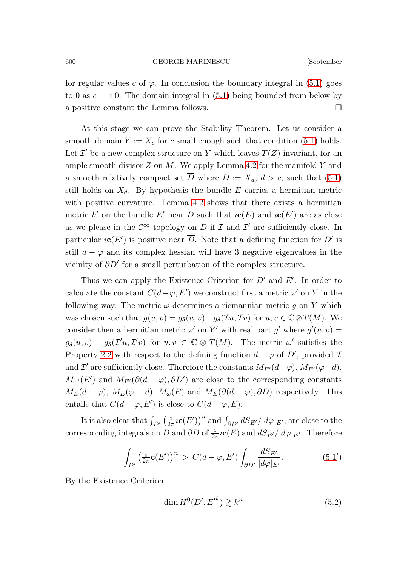for regular values c of  $\varphi$ . In conclusion the boundary integral in [\(5.1\)](#page-20-0) goes to 0 as  $c \rightarrow 0$ . The domain integral in [\(5.1\)](#page-20-0) being bounded from below by a positive constant the Lemma follows.  $\Box$ 

At this stage we can prove the Stability Theorem. Let us consider a smooth domain  $Y := X_c$  for c small enough such that condition [\(5.1\)](#page-20-0) holds. Let  $\mathcal{I}'$  be a new complex structure on Y which leaves  $T(Z)$  invariant, for an ample smooth divisor  $Z$  on  $M$ . We apply Lemma [4.2](#page-17-0) for the manifold  $Y$  and a smooth relatively compact set  $\overline{D}$  where  $D := X_d, d > c$ , such that [\(5.1\)](#page-20-0) still holds on  $X_d$ . By hypothesis the bundle E carries a hermitian metric with positive curvature. Lemma [4.2](#page-17-0) shows that there exists a hermitian metric h' on the bundle E' near D such that  $i\mathbf{c}(E)$  and  $i\mathbf{c}(E')$  are as close as we please in the  $\mathcal{C}^{\infty}$  topology on  $\overline{D}$  if  $\mathcal I$  and  $\mathcal I'$  are sufficiently close. In particular  $i\mathbf{c}(E')$  is positive near  $\overline{D}$ . Note that a defining function for  $D'$  is still  $d - \varphi$  and its complex hessian will have 3 negative eigenvalues in the vicinity of  $\partial D'$  for a small perturbation of the complex structure.

Thus we can apply the Existence Criterion for  $D'$  and  $E'$ . In order to calculate the constant  $C(d - \varphi, E')$  we construct first a metric  $\omega'$  on Y in the following way. The metric  $\omega$  determines a riemannian metric g on Y which was chosen such that  $g(u, v) = g_\delta(u, v) + g_\delta(\mathcal{I}u, \mathcal{I}v)$  for  $u, v \in \mathbb{C} \otimes T(M)$ . We consider then a hermitian metric  $\omega'$  on Y' with real part g' where  $g'(u, v) =$  $g_{\delta}(u, v) + g_{\delta}(\mathcal{I}'u, \mathcal{I}'v)$  for  $u, v \in \mathbb{C} \otimes T(M)$ . The metric  $\omega'$  satisfies the Property [2.2](#page-4-1) with respect to the defining function  $d - \varphi$  of D', provided  $\mathcal{I}$ and  $\mathcal{I}'$  are sufficiently close. Therefore the constants  $M_{E'}(d-\varphi)$ ,  $M_{E'}(\varphi-d)$ ,  $M_{\omega'}(E')$  and  $M_{E'}(\partial (d - \varphi), \partial D')$  are close to the corresponding constants  $M_E(d - \varphi)$ ,  $M_E(\varphi - d)$ ,  $M_\omega(E)$  and  $M_E(\partial(d - \varphi), \partial D)$  respectively. This entails that  $C(d - \varphi, E')$  is close to  $C(d - \varphi, E)$ .

It is also clear that  $\int_{D'} \left( \frac{i}{2i} \right)$  $\frac{1}{2\pi}i\mathbf{c}(E')\big)^n$  and  $\int_{\partial D'}dS_{E'}/|d\varphi|_{E'}$ , are close to the corresponding integrals on D and  $\partial D$  of  $\frac{i}{2\pi}i\mathbf{c}(E)$  and  $dS_{E'}/|d\varphi|_{E'}$ . Therefore

$$
\int_{D'} \left(\frac{i}{2\pi} \mathbf{c}(E')\right)^n > C(d-\varphi, E') \int_{\partial D'} \frac{dS_{E'}}{|d\varphi|_{E'}}.\tag{5.1'}
$$

By the Existence Criterion

$$
\dim H^0(D', E'^k) \gtrsim k^n \tag{5.2}
$$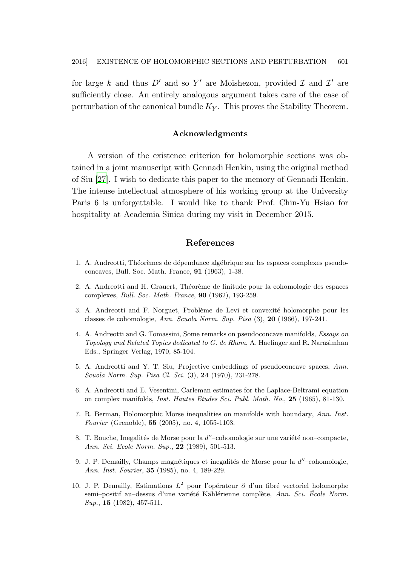for large k and thus  $D'$  and so Y' are Moishezon, provided  $\mathcal I$  and  $\mathcal I'$  are sufficiently close. An entirely analogous argument takes care of the case of perturbation of the canonical bundle  $K_Y$ . This proves the Stability Theorem.

## Acknowledgments

A version of the existence criterion for holomorphic sections was obtained in a joint manuscript with Gennadi Henkin, using the original method of Siu [\[27](#page-23-3)]. I wish to dedicate this paper to the memory of Gennadi Henkin. The intense intellectual atmosphere of his working group at the University Paris 6 is unforgettable. I would like to thank Prof. Chin-Yu Hsiao for hospitality at Academia Sinica during my visit in December 2015.

# References

- <span id="page-22-0"></span>1. A. Andreotti, Théorèmes de dépendance algébrique sur les espaces complexes pseudoconcaves, Bull. Soc. Math. France, 91 (1963), 1-38.
- <span id="page-22-3"></span>2. A. Andreotti and H. Grauert, Théorème de finitude pour la cohomologie des espaces complexes, Bull. Soc. Math. France, 90 (1962), 193-259.
- <span id="page-22-4"></span>3. A. Andreotti and F. Norguet, Problème de Levi et convexité holomorphe pour les classes de cohomologie, Ann. Scuola Norm. Sup. Pisa (3), 20 (1966), 197-241.
- <span id="page-22-1"></span>4. A. Andreotti and G. Tomassini, Some remarks on pseudoconcave manifolds, Essays on Topology and Related Topics dedicated to G. de Rham, A. Haefinger and R. Narasimhan Eds., Springer Verlag, 1970, 85-104.
- <span id="page-22-2"></span>5. A. Andreotti and Y. T. Siu, Projective embeddings of pseudoconcave spaces, Ann. Scuola Norm. Sup. Pisa Cl. Sci. (3), 24 (1970), 231-278.
- <span id="page-22-8"></span>6. A. Andreotti and E. Vesentini, Carleman estimates for the Laplace-Beltrami equation on complex manifolds, Inst. Hautes Etudes Sci. Publ. Math. No., 25 (1965), 81-130.
- <span id="page-22-6"></span>7. R. Berman, Holomorphic Morse inequalities on manifolds with boundary, Ann. Inst. Fourier (Grenoble), 55 (2005), no. 4, 1055-1103.
- <span id="page-22-7"></span>8. T. Bouche, Inegalités de Morse pour la  $d''$ -cohomologie sur une variété non-compacte, Ann. Sci. Ecole Norm. Sup., 22 (1989), 501-513.
- <span id="page-22-5"></span>9. J. P. Demailly, Champs magnétiques et inegalités de Morse pour la  $d''$ -cohomologie, Ann. Inst. Fourier, 35 (1985), no. 4, 189-229.
- <span id="page-22-9"></span>10. J. P. Demailly, Estimations  $L^2$  pour l'opérateur  $\bar{\partial}$  d'un fibré vectoriel holomorphe semi–positif au–dessus d'une variété Kählérienne complète, Ann. Sci. École Norm. Sup., **15** (1982), 457-511.